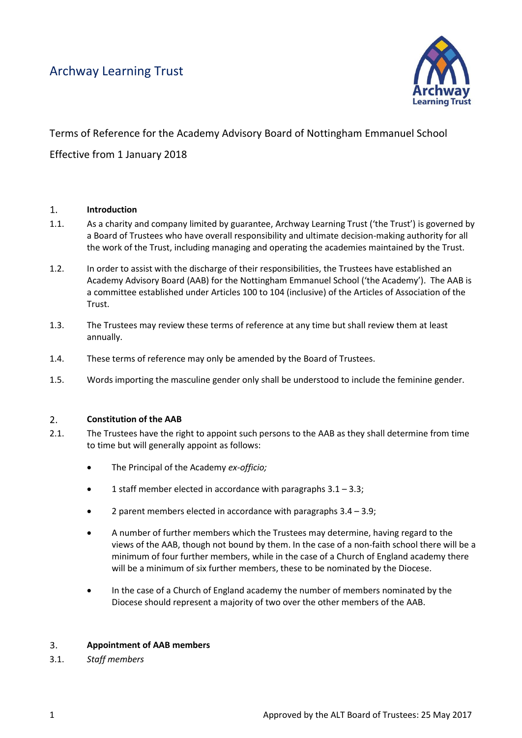## Archway Learning Trust



# Terms of Reference for the Academy Advisory Board of Nottingham Emmanuel School Effective from 1 January 2018

#### $\overline{1}$ **Introduction**

- 1.1. As a charity and company limited by guarantee, Archway Learning Trust ('the Trust') is governed by a Board of Trustees who have overall responsibility and ultimate decision-making authority for all the work of the Trust, including managing and operating the academies maintained by the Trust.
- 1.2. In order to assist with the discharge of their responsibilities, the Trustees have established an Academy Advisory Board (AAB) for the Nottingham Emmanuel School ('the Academy'). The AAB is a committee established under Articles 100 to 104 (inclusive) of the Articles of Association of the Trust.
- 1.3. The Trustees may review these terms of reference at any time but shall review them at least annually.
- 1.4. These terms of reference may only be amended by the Board of Trustees.
- 1.5. Words importing the masculine gender only shall be understood to include the feminine gender.

#### $2.$ **Constitution of the AAB**

- 2.1. The Trustees have the right to appoint such persons to the AAB as they shall determine from time to time but will generally appoint as follows:
	- The Principal of the Academy *ex-officio;*
	- 1 staff member elected in accordance with paragraphs 3.1 3.3;
	- 2 parent members elected in accordance with paragraphs 3.4 3.9;
	- A number of further members which the Trustees may determine, having regard to the views of the AAB, though not bound by them. In the case of a non-faith school there will be a minimum of four further members, while in the case of a Church of England academy there will be a minimum of six further members, these to be nominated by the Diocese.
	- In the case of a Church of England academy the number of members nominated by the Diocese should represent a majority of two over the other members of the AAB.

#### **Appointment of AAB members**  $3.$

3.1. *Staff members*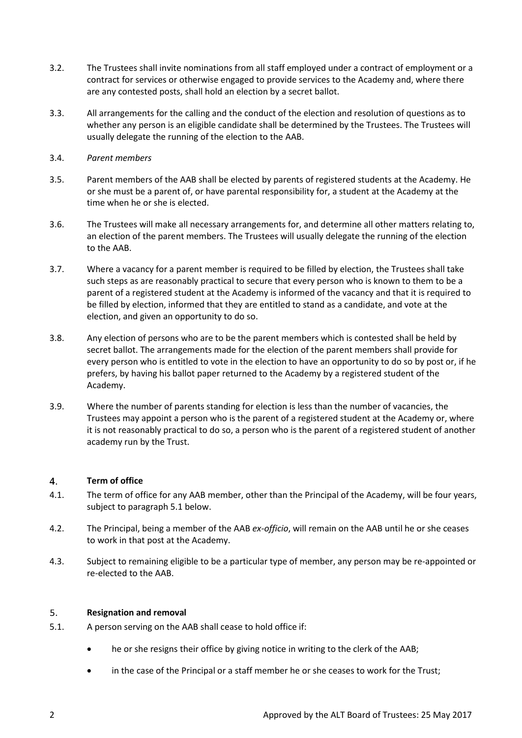- 3.2. The Trustees shall invite nominations from all staff employed under a contract of employment or a contract for services or otherwise engaged to provide services to the Academy and, where there are any contested posts, shall hold an election by a secret ballot.
- 3.3. All arrangements for the calling and the conduct of the election and resolution of questions as to whether any person is an eligible candidate shall be determined by the Trustees. The Trustees will usually delegate the running of the election to the AAB.
- 3.4. *Parent members*
- 3.5. Parent members of the AAB shall be elected by parents of registered students at the Academy. He or she must be a parent of, or have parental responsibility for, a student at the Academy at the time when he or she is elected.
- 3.6. The Trustees will make all necessary arrangements for, and determine all other matters relating to, an election of the parent members. The Trustees will usually delegate the running of the election to the AAB.
- 3.7. Where a vacancy for a parent member is required to be filled by election, the Trustees shall take such steps as are reasonably practical to secure that every person who is known to them to be a parent of a registered student at the Academy is informed of the vacancy and that it is required to be filled by election, informed that they are entitled to stand as a candidate, and vote at the election, and given an opportunity to do so.
- 3.8. Any election of persons who are to be the parent members which is contested shall be held by secret ballot. The arrangements made for the election of the parent members shall provide for every person who is entitled to vote in the election to have an opportunity to do so by post or, if he prefers, by having his ballot paper returned to the Academy by a registered student of the Academy.
- 3.9. Where the number of parents standing for election is less than the number of vacancies, the Trustees may appoint a person who is the parent of a registered student at the Academy or, where it is not reasonably practical to do so, a person who is the parent of a registered student of another academy run by the Trust.

#### 4. **Term of office**

- 4.1. The term of office for any AAB member, other than the Principal of the Academy, will be four years, subject to paragraph 5.1 below.
- 4.2. The Principal, being a member of the AAB *ex-officio*, will remain on the AAB until he or she ceases to work in that post at the Academy.
- 4.3. Subject to remaining eligible to be a particular type of member, any person may be re-appointed or re-elected to the AAB.

#### 5. **Resignation and removal**

- 5.1. A person serving on the AAB shall cease to hold office if:
	- he or she resigns their office by giving notice in writing to the clerk of the AAB;
	- in the case of the Principal or a staff member he or she ceases to work for the Trust;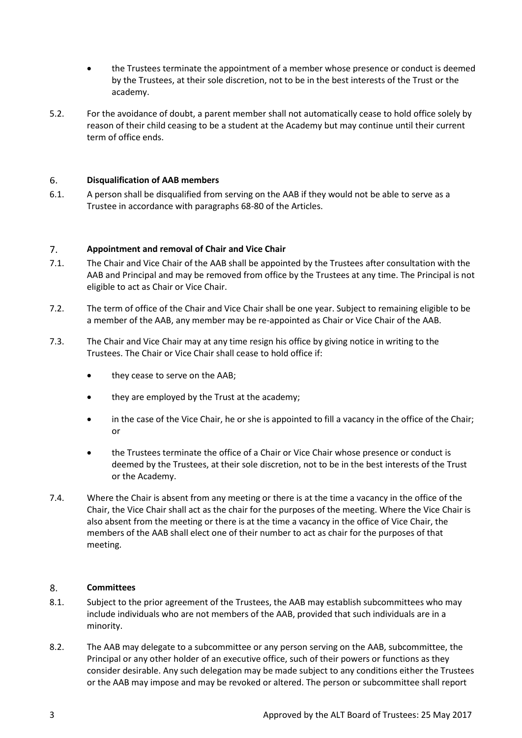- the Trustees terminate the appointment of a member whose presence or conduct is deemed by the Trustees, at their sole discretion, not to be in the best interests of the Trust or the academy.
- 5.2. For the avoidance of doubt, a parent member shall not automatically cease to hold office solely by reason of their child ceasing to be a student at the Academy but may continue until their current term of office ends.

#### 6. **Disqualification of AAB members**

6.1. A person shall be disqualified from serving on the AAB if they would not be able to serve as a Trustee in accordance with paragraphs 68-80 of the Articles.

#### $7.$ **Appointment and removal of Chair and Vice Chair**

- 7.1. The Chair and Vice Chair of the AAB shall be appointed by the Trustees after consultation with the AAB and Principal and may be removed from office by the Trustees at any time. The Principal is not eligible to act as Chair or Vice Chair.
- 7.2. The term of office of the Chair and Vice Chair shall be one year. Subject to remaining eligible to be a member of the AAB, any member may be re-appointed as Chair or Vice Chair of the AAB.
- 7.3. The Chair and Vice Chair may at any time resign his office by giving notice in writing to the Trustees. The Chair or Vice Chair shall cease to hold office if:
	- they cease to serve on the AAB;
	- they are employed by the Trust at the academy;
	- in the case of the Vice Chair, he or she is appointed to fill a vacancy in the office of the Chair; or
	- the Trustees terminate the office of a Chair or Vice Chair whose presence or conduct is deemed by the Trustees, at their sole discretion, not to be in the best interests of the Trust or the Academy.
- 7.4. Where the Chair is absent from any meeting or there is at the time a vacancy in the office of the Chair, the Vice Chair shall act as the chair for the purposes of the meeting. Where the Vice Chair is also absent from the meeting or there is at the time a vacancy in the office of Vice Chair, the members of the AAB shall elect one of their number to act as chair for the purposes of that meeting.

#### 8. **Committees**

- 8.1. Subject to the prior agreement of the Trustees, the AAB may establish subcommittees who may include individuals who are not members of the AAB, provided that such individuals are in a minority.
- 8.2. The AAB may delegate to a subcommittee or any person serving on the AAB, subcommittee, the Principal or any other holder of an executive office, such of their powers or functions as they consider desirable. Any such delegation may be made subject to any conditions either the Trustees or the AAB may impose and may be revoked or altered. The person or subcommittee shall report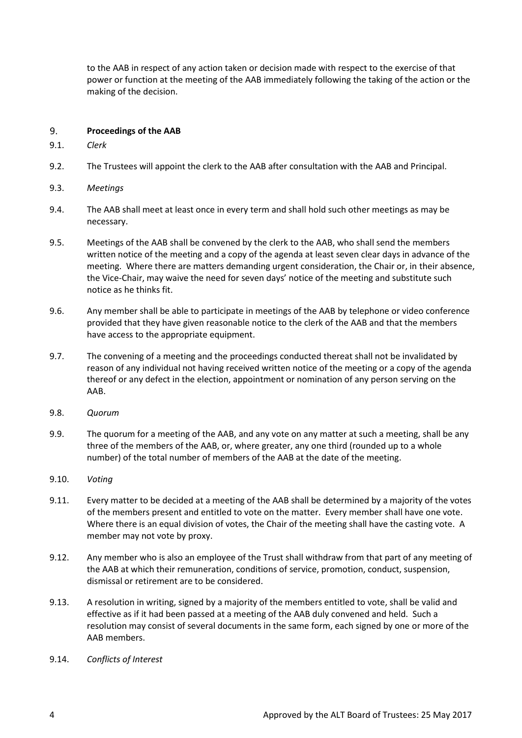to the AAB in respect of any action taken or decision made with respect to the exercise of that power or function at the meeting of the AAB immediately following the taking of the action or the making of the decision.

#### 9. **Proceedings of the AAB**

- 9.1. *Clerk*
- 9.2. The Trustees will appoint the clerk to the AAB after consultation with the AAB and Principal.
- 9.3. *Meetings*
- 9.4. The AAB shall meet at least once in every term and shall hold such other meetings as may be necessary.
- 9.5. Meetings of the AAB shall be convened by the clerk to the AAB, who shall send the members written notice of the meeting and a copy of the agenda at least seven clear days in advance of the meeting. Where there are matters demanding urgent consideration, the Chair or, in their absence, the Vice-Chair, may waive the need for seven days' notice of the meeting and substitute such notice as he thinks fit.
- 9.6. Any member shall be able to participate in meetings of the AAB by telephone or video conference provided that they have given reasonable notice to the clerk of the AAB and that the members have access to the appropriate equipment.
- 9.7. The convening of a meeting and the proceedings conducted thereat shall not be invalidated by reason of any individual not having received written notice of the meeting or a copy of the agenda thereof or any defect in the election, appointment or nomination of any person serving on the AAB.
- 9.8. *Quorum*
- 9.9. The quorum for a meeting of the AAB, and any vote on any matter at such a meeting, shall be any three of the members of the AAB, or, where greater, any one third (rounded up to a whole number) of the total number of members of the AAB at the date of the meeting.
- 9.10. *Voting*
- 9.11. Every matter to be decided at a meeting of the AAB shall be determined by a majority of the votes of the members present and entitled to vote on the matter. Every member shall have one vote. Where there is an equal division of votes, the Chair of the meeting shall have the casting vote. A member may not vote by proxy.
- 9.12. Any member who is also an employee of the Trust shall withdraw from that part of any meeting of the AAB at which their remuneration, conditions of service, promotion, conduct, suspension, dismissal or retirement are to be considered.
- 9.13. A resolution in writing, signed by a majority of the members entitled to vote, shall be valid and effective as if it had been passed at a meeting of the AAB duly convened and held. Such a resolution may consist of several documents in the same form, each signed by one or more of the AAB members.
- 9.14. *Conflicts of Interest*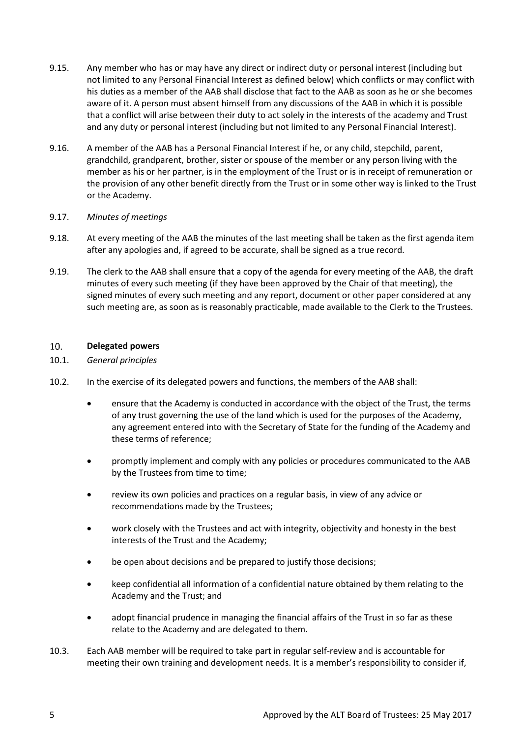- 9.15. Any member who has or may have any direct or indirect duty or personal interest (including but not limited to any Personal Financial Interest as defined below) which conflicts or may conflict with his duties as a member of the AAB shall disclose that fact to the AAB as soon as he or she becomes aware of it. A person must absent himself from any discussions of the AAB in which it is possible that a conflict will arise between their duty to act solely in the interests of the academy and Trust and any duty or personal interest (including but not limited to any Personal Financial Interest).
- 9.16. A member of the AAB has a Personal Financial Interest if he, or any child, stepchild, parent, grandchild, grandparent, brother, sister or spouse of the member or any person living with the member as his or her partner, is in the employment of the Trust or is in receipt of remuneration or the provision of any other benefit directly from the Trust or in some other way is linked to the Trust or the Academy.

## 9.17. *Minutes of meetings*

- 9.18. At every meeting of the AAB the minutes of the last meeting shall be taken as the first agenda item after any apologies and, if agreed to be accurate, shall be signed as a true record.
- 9.19. The clerk to the AAB shall ensure that a copy of the agenda for every meeting of the AAB, the draft minutes of every such meeting (if they have been approved by the Chair of that meeting), the signed minutes of every such meeting and any report, document or other paper considered at any such meeting are, as soon as is reasonably practicable, made available to the Clerk to the Trustees.

#### 10. **Delegated powers**

- 10.1. *General principles*
- 10.2. In the exercise of its delegated powers and functions, the members of the AAB shall:
	- ensure that the Academy is conducted in accordance with the object of the Trust, the terms of any trust governing the use of the land which is used for the purposes of the Academy, any agreement entered into with the Secretary of State for the funding of the Academy and these terms of reference;
	- promptly implement and comply with any policies or procedures communicated to the AAB by the Trustees from time to time;
	- review its own policies and practices on a regular basis, in view of any advice or recommendations made by the Trustees;
	- work closely with the Trustees and act with integrity, objectivity and honesty in the best interests of the Trust and the Academy;
	- be open about decisions and be prepared to justify those decisions;
	- keep confidential all information of a confidential nature obtained by them relating to the Academy and the Trust; and
	- adopt financial prudence in managing the financial affairs of the Trust in so far as these relate to the Academy and are delegated to them.
- 10.3. Each AAB member will be required to take part in regular self-review and is accountable for meeting their own training and development needs. It is a member's responsibility to consider if,